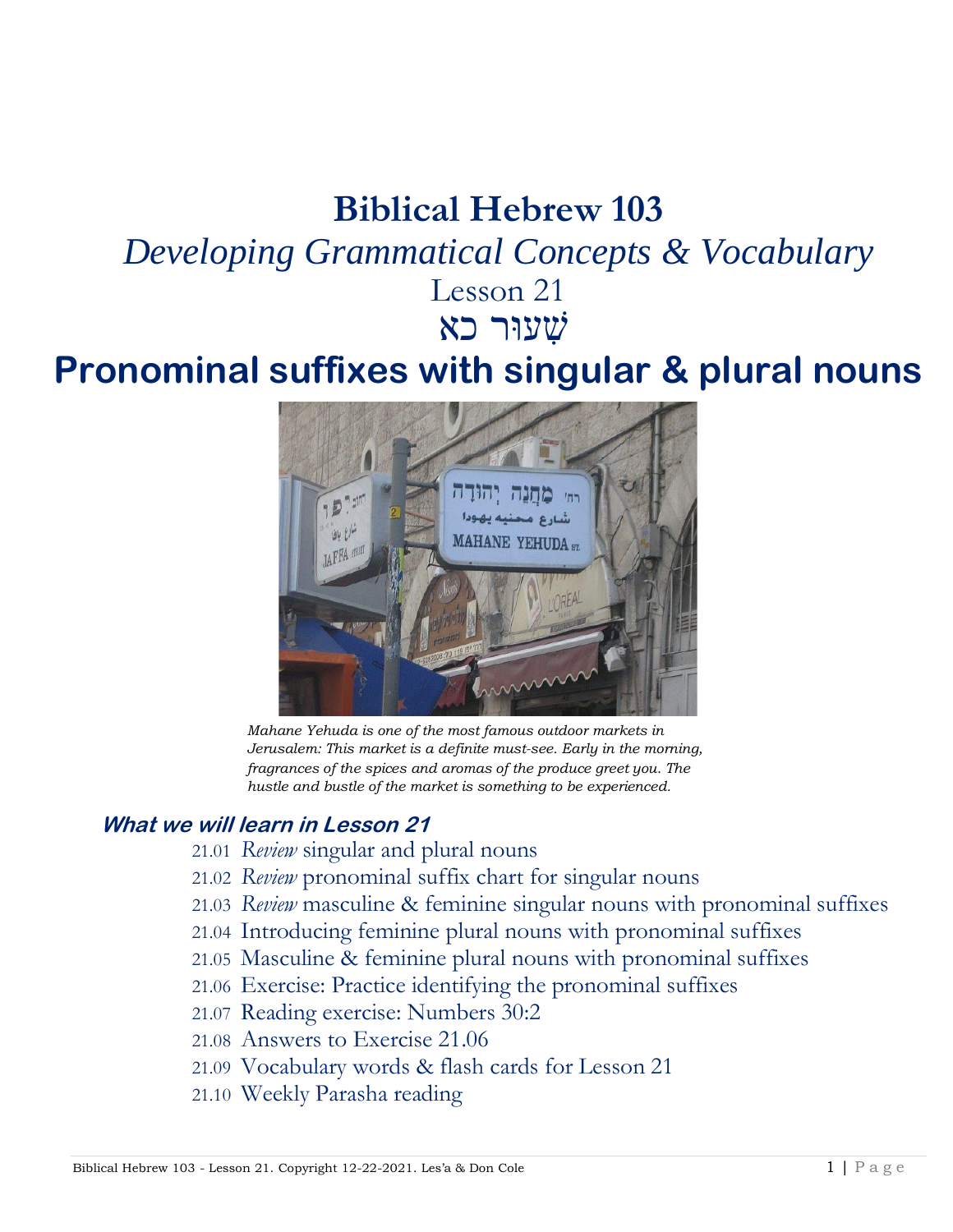# **Biblical Hebrew 103**

# *Developing Grammatical Concepts & Vocabulary*

Lesson 21 שׁ ִעוּר כא

# **Pronominal suffixes with singular & plural nouns**



*Mahane Yehuda is one of the most famous outdoor markets in Jerusalem: This market is a definite must-see. Early in the morning, fragrances of the spices and aromas of the produce greet you. The hustle and bustle of the market is something to be experienced.*

#### **What we will learn in Lesson 21**

- 21.01 *Review* singular and plural nouns
- 21.02 *Review* pronominal suffix chart for singular nouns
- 21.03 *Review* masculine & feminine singular nouns with pronominal suffixes
- 21.04 Introducing feminine plural nouns with pronominal suffixes
- 21.05 Masculine & feminine plural nouns with pronominal suffixes
- 21.06 Exercise: Practice identifying the pronominal suffixes
- 21.07 Reading exercise: Numbers 30:2
- 21.08 Answers to Exercise 21.06
- 21.09 Vocabulary words & flash cards for Lesson 21
- 21.10 Weekly Parasha reading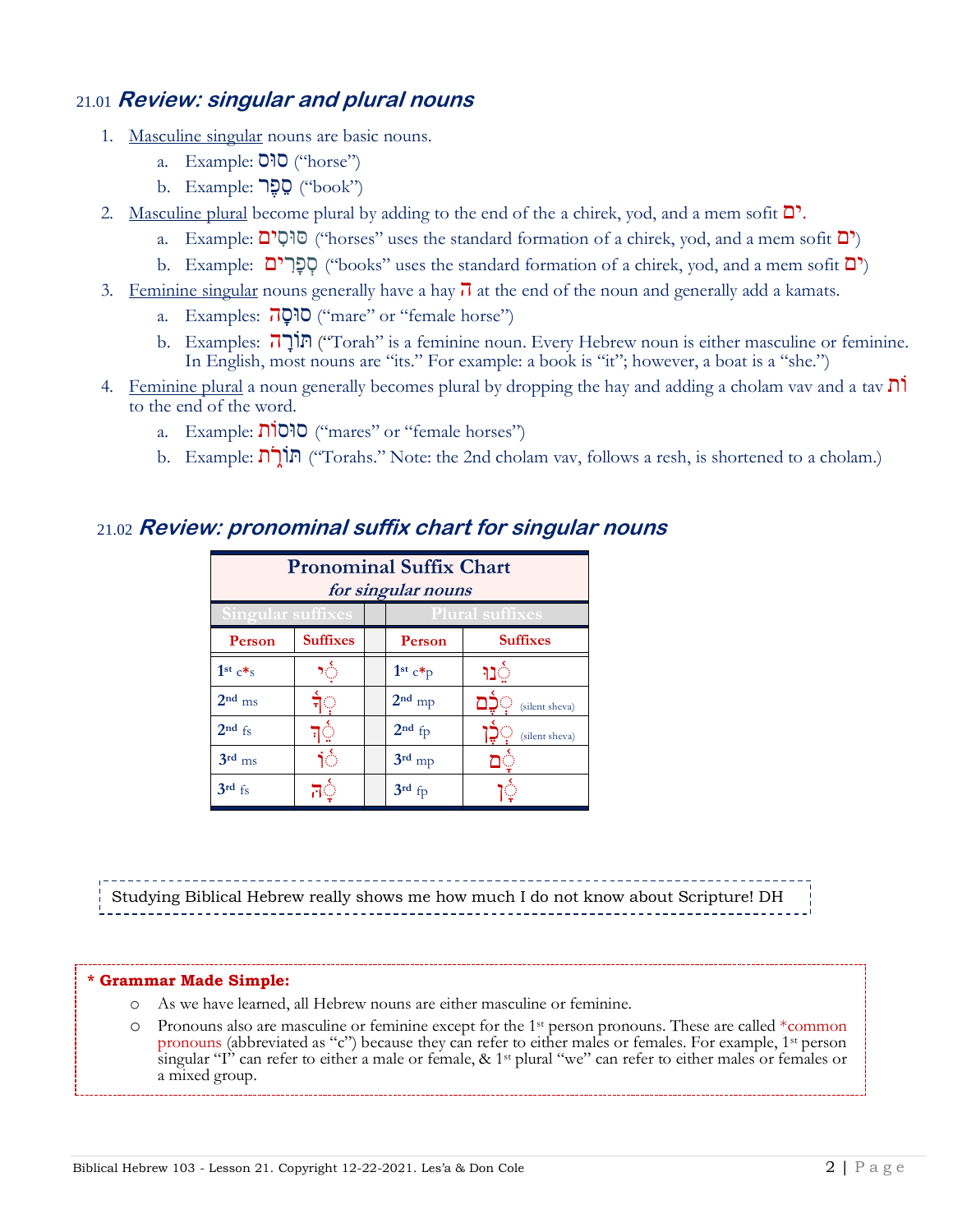#### 21.01 **Review: singular and plural nouns**

- 1. Masculine singular nouns are basic nouns.
	- a. Example:  $O'O$ <sup>"</sup>("horse")
	- $\mathbf b$ . Example: סֶפֶּר ("book")
- 2. Masculine plural become plural by adding to the end of the a chirek, yod, and a mem sofit  $\mathbb{D}^1$ .
	- a. Example: סוּסִים ("horses" uses the standard formation of a chirek, yod, and a mem sofit  $\Box$ )
	- b. Example: סָפְרִים ("books" uses the standard formation of a chirek, yod, and a mem sofit  $\Box$ )
- 3. Feminine singular nouns generally have a hay  $\overline{J}$  at the end of the noun and generally add a kamats.
	- a. Examples: ה**ַסְה**" ("mare" or "female horse")
	- b. Examples: הִָתוֹרּ") Torah" is a feminine noun. Every Hebrew noun is either masculine or feminine. In English, most nouns are "its." For example: a book is "it"; however, a boat is a "she.")
- 4. Feminine plural a noun generally becomes plural by dropping the hay and adding a cholam vav and a tav ִוֹת to the end of the word.
	- a. Example: סוּסוֹת" ("mares" or "female horses")
	- b. Example: תוֹרָה ("Torahs." Note: the 2nd cholam vav, follows a resh, is shortened to a cholam.)

| <b>Pronominal Suffix Chart</b><br>for singular nouns |                        |  |           |                 |  |
|------------------------------------------------------|------------------------|--|-----------|-----------------|--|
| Singular suffixes                                    | <b>Plural suffixes</b> |  |           |                 |  |
| Person                                               | <b>Suffixes</b>        |  | Person    | <b>Suffixes</b> |  |
| 1st $c*s$                                            |                        |  | $1st c*p$ |                 |  |
| $2nd$ ms                                             |                        |  | $2nd$ mp  | (silent sheva)  |  |
| $2nd$ fs                                             |                        |  | $2nd$ fp  | (silent sheva)  |  |
| $3rd$ <sub>ms</sub>                                  |                        |  | $3rd$ mp  |                 |  |
| $3rd$ fs                                             |                        |  | $3rd$ fp  |                 |  |

#### 21.02 **Review: pronominal suffix chart for singular nouns**

Studying Biblical Hebrew really shows me how much I do not know about Scripture! DH

#### **\* Grammar Made Simple:**

- o As we have learned, all Hebrew nouns are either masculine or feminine.
- o Pronouns also are masculine or feminine except for the 1st person pronouns. These are called \*common pronouns (abbreviated as "c") because they can refer to either males or females. For example, 1st person singular "I" can refer to either a male or female, & 1st plural "we" can refer to either males or females or a mixed group.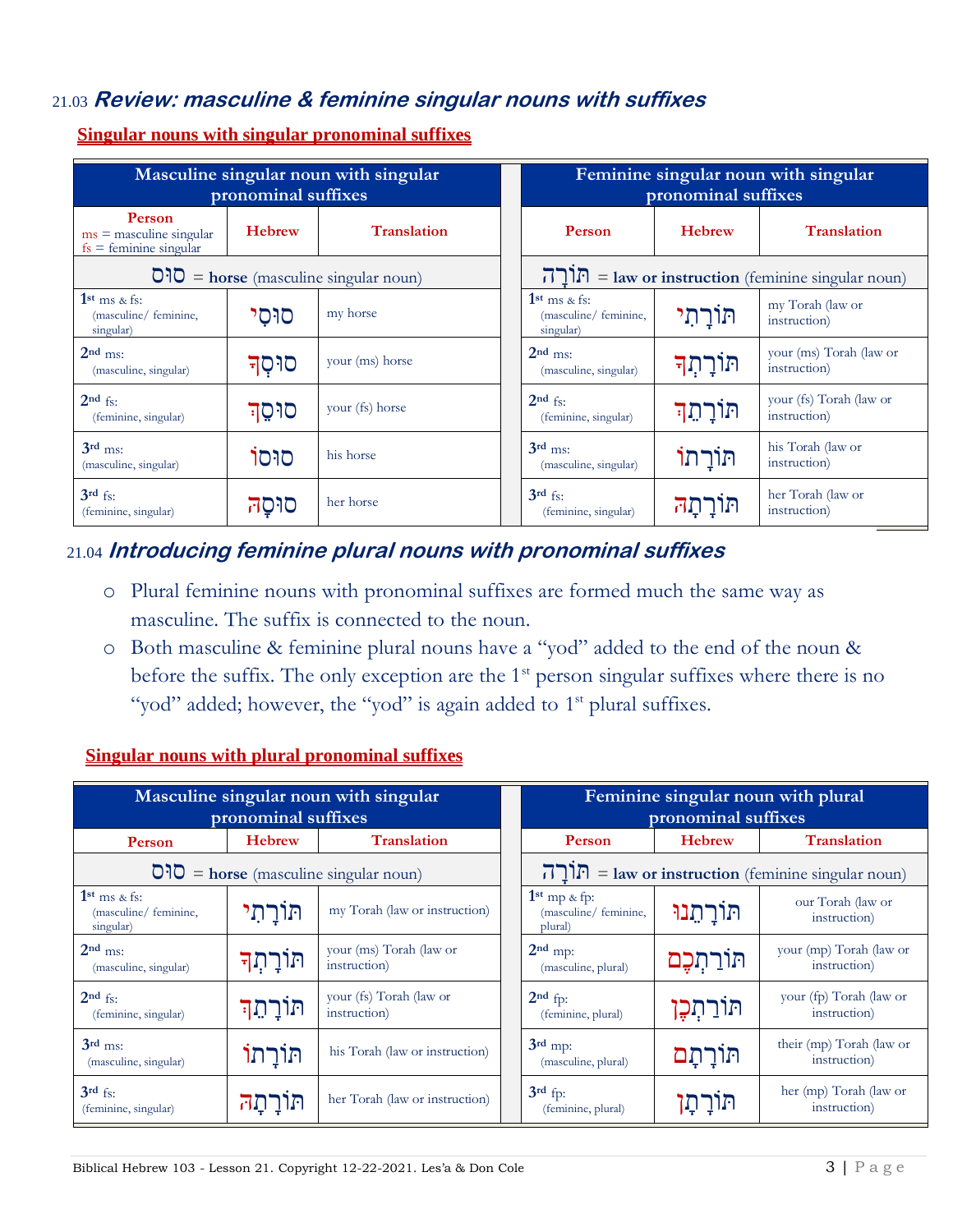#### 21.03 **Review: masculine & feminine singular nouns with suffixes**

| Masculine singular noun with singular<br>pronominal suffixes           |               |                                                                              |  |                                                      | pronominal suffixes | Feminine singular noun with singular                                 |
|------------------------------------------------------------------------|---------------|------------------------------------------------------------------------------|--|------------------------------------------------------|---------------------|----------------------------------------------------------------------|
| <b>Person</b><br>$ms =$ masculine singular<br>$fs =$ feminine singular | <b>Hebrew</b> | <b>Translation</b>                                                           |  | <b>Person</b>                                        | <b>Hebrew</b>       | <b>Translation</b>                                                   |
|                                                                        |               | $\overline{O}$ <sup>1</sup> $\overline{O}$ = horse (masculine singular noun) |  |                                                      |                     | $\Gamma$ ן[ $\Gamma$ ] = law or instruction (feminine singular noun) |
| $1st$ ms & fs:<br>(masculine/ feminine,<br>singular)                   | סוּסי         | my horse                                                                     |  | $1st$ ms & fs:<br>(masculine/ feminine,<br>singular) | תּוֹרַתִי           | my Torah (law or<br>instruction)                                     |
| $2nd$ ms:<br>(masculine, singular)                                     | סוּסְד        | your (ms) horse                                                              |  | $2nd$ ms:<br>(masculine, singular)                   | תּוֹרָתִךּ          | your (ms) Torah (law or<br>instruction)                              |
| $2nd$ fs:<br>(feminine, singular)                                      | סוּסֶד        | your (fs) horse                                                              |  | $2nd$ fs:<br>(feminine, singular)                    | תּוֹרָתֵך           | your (fs) Torah (law or<br>instruction)                              |
| $3rd$ ms:<br>(masculine, singular)                                     | סוּסוֹ        | his horse                                                                    |  | $3rd$ ms:<br>(masculine, singular)                   | תורתו               | his Torah (law or<br>instruction)                                    |
| $3rd$ fs:<br>(feminine, singular)                                      | סוּסַה        | her horse                                                                    |  | $3rd$ fs:<br>(feminine, singular)                    | תורתה               | her Torah (law or<br>instruction)                                    |

**Singular nouns with singular pronominal suffixes**

#### 21.04 **Introducing feminine plural nouns with pronominal suffixes**

- o Plural feminine nouns with pronominal suffixes are formed much the same way as masculine. The suffix is connected to the noun.
- o Both masculine & feminine plural nouns have a "yod" added to the end of the noun & before the suffix. The only exception are the  $1<sup>st</sup>$  person singular suffixes where there is no "yod" added; however, the "yod" is again added to 1<sup>st</sup> plural suffixes.

| Masculine singular noun with singular<br>pronominal suffixes                 |               |                                         |  |                                                                 | pronominal suffixes | Feminine singular noun with plural                                    |
|------------------------------------------------------------------------------|---------------|-----------------------------------------|--|-----------------------------------------------------------------|---------------------|-----------------------------------------------------------------------|
| Person                                                                       | <b>Hebrew</b> | <b>Translation</b>                      |  | <b>Person</b>                                                   | <b>Hebrew</b>       | <b>Translation</b>                                                    |
| $\overline{O}$ <sup>1</sup> $\overline{O}$ = horse (masculine singular noun) |               |                                         |  |                                                                 |                     | $\Gamma$ ן[ד $\Gamma$ ] = law or instruction (feminine singular noun) |
| $1st$ ms & fs:<br>(masculine/ feminine,<br>singular)                         | תּוֹרַתִי     | my Torah (law or instruction)           |  | 1 <sup>st</sup> mp $\&$ fp:<br>(masculine/ feminine,<br>plural) | תּוֹרַתֵּנוּ        | our Torah (law or<br>instruction)                                     |
| $2nd$ ms:<br>(masculine, singular)                                           | תוֹרָתִךּ     | your (ms) Torah (law or<br>instruction) |  | $2nd$ mp:<br>(masculine, plural)                                | תוֹרַתְכֶם          | your (mp) Torah (law or<br>instruction)                               |
| $2nd$ fs:<br>(feminine, singular)                                            | תּוֹרָתֶך     | your (fs) Torah (law or<br>instruction) |  | $2nd$ fp:<br>(feminine, plural)                                 | תּוֹרַתִּכֵן        | your (fp) Torah (law or<br>instruction)                               |
| $3rd$ ms:<br>(masculine, singular)                                           | תּוֹרַתוֹ     | his Torah (law or instruction)          |  | $3rd$ mp:<br>(masculine, plural)                                | תּוֹרַתָּם          | their (mp) Torah (law or<br>instruction)                              |
| $3rd$ fs:<br>(feminine, singular)                                            | תורתה         | her Torah (law or instruction)          |  | $3rd$ fp:<br>(feminine, plural)                                 | תורתו               | her (mp) Torah (law or<br>instruction)                                |

#### **Singular nouns with plural pronominal suffixes**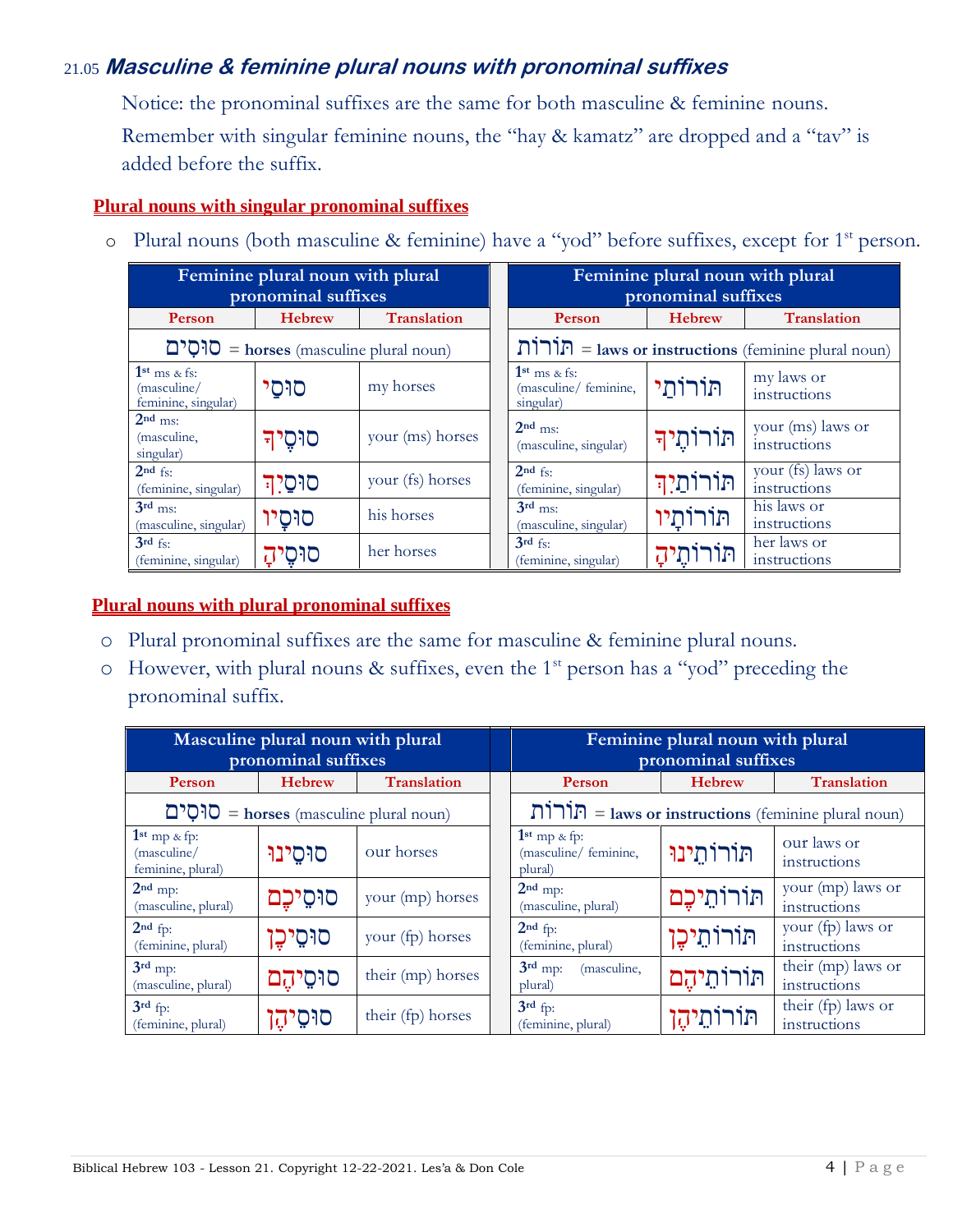### 21.05 **Masculine & feminine plural nouns with pronominal suffixes**

Notice: the pronominal suffixes are the same for both masculine & feminine nouns. Remember with singular feminine nouns, the "hay & kamatz" are dropped and a "tav" is added before the suffix.

#### **Plural nouns with singular pronominal suffixes**

|                                                      | Feminine plural noun with plural<br>pronominal suffixes |                    |  | Feminine plural noun with plural<br>pronominal suffixes       |               |                                   |  |
|------------------------------------------------------|---------------------------------------------------------|--------------------|--|---------------------------------------------------------------|---------------|-----------------------------------|--|
| Person                                               | <b>Hebrew</b>                                           | <b>Translation</b> |  | Person                                                        | <b>Hebrew</b> | <b>Translation</b>                |  |
|                                                      | $\Box$ <b>O</b> = horses (masculine plural noun)        |                    |  | $\prod \prod P$ = laws or instructions (feminine plural noun) |               |                                   |  |
| $1st$ ms & fs:<br>(masculine)<br>feminine, singular) | סוּסי                                                   | my horses          |  | $1st$ ms & fs:<br>(masculine/ feminine,<br>singular)          | תּוֹרוֹתי     | my laws or<br>instructions        |  |
| $2nd$ ms:<br>(masculine,<br>singular)                | סוּסֵיד                                                 | your (ms) horses   |  | $2nd$ ms:<br>(masculine, singular)                            | תוֹרוֹתֶיךָ   | your (ms) laws or<br>instructions |  |
| $2nd$ fs:<br>(feminine, singular)                    | סוּסַיִך                                                | your (fs) horses   |  | $2nd$ fs:<br>(feminine, singular)                             | תורותיה       | your (fs) laws or<br>instructions |  |
| $3rd$ ms:<br>(masculine, singular)                   | סוּסַיו                                                 | his horses         |  | $3rd$ ms:<br>(masculine, singular)                            | תורותיו       | his laws or<br>instructions       |  |
| $3rd$ fs:<br>(feminine, singular)                    | סוּסֶיהָ                                                | her horses         |  | $3rd$ fs:<br>(feminine, singular)                             | תּוֹרוֹתֶיהָ  | her laws or<br>instructions       |  |

o Plural nouns (both masculine & feminine) have a "yod" before suffixes, except for 1<sup>st</sup> person.

#### **Plural nouns with plural pronominal suffixes**

- o Plural pronominal suffixes are the same for masculine & feminine plural nouns.
- $\circ$  However, with plural nouns & suffixes, even the 1<sup>st</sup> person has a "yod" preceding the pronominal suffix.

| Masculine plural noun with plural<br>pronominal suffixes |               |                    |  | Feminine plural noun with plural<br>pronominal suffixes                |               |                                    |
|----------------------------------------------------------|---------------|--------------------|--|------------------------------------------------------------------------|---------------|------------------------------------|
| Person                                                   | <b>Hebrew</b> | <b>Translation</b> |  | <b>Person</b>                                                          | <b>Hebrew</b> | <b>Translation</b>                 |
| $D^{\bullet}$ = horses (masculine plural noun)           |               |                    |  | $\text{minimize} = \text{laws or instructions (feminine plural noun)}$ |               |                                    |
| $1st$ mp & fp:<br>(masculine/<br>feminine, plural)       | סוּסִינוּ     | our horses         |  | $1st$ mp & fp:<br>(masculine/ feminine,<br>plural)                     | תורותינו      | our laws or<br>instructions        |
| $2nd$ mp:<br>(masculine, plural)                         | סוּסֵיכֵם     | your (mp) horses   |  | $2nd$ mp:<br>(masculine, plural)                                       | תורותיכם      | your (mp) laws or<br>instructions  |
| $2nd$ fp:<br>(feminine, plural)                          | סוּסֵיכֶן     | your (fp) horses   |  | $2nd$ fp:<br>(feminine, plural)                                        | תּוֹרוֹתֵיכֶן | your (fp) laws or<br>instructions  |
| $3rd$ mp:<br>(masculine, plural)                         | סוּסֵיהֶם     | their (mp) horses  |  | $3rd$ mp:<br>(masculine,<br>plural)                                    | תורותיהם      | their (mp) laws or<br>instructions |
| $3rd$ fp:<br>(feminine, plural)                          | סוּסֵיהֶן     | their (fp) horses  |  | $3rd$ fp:<br>(feminine, plural)                                        | תוֹרוֹתֵיהֶן  | their (fp) laws or<br>instructions |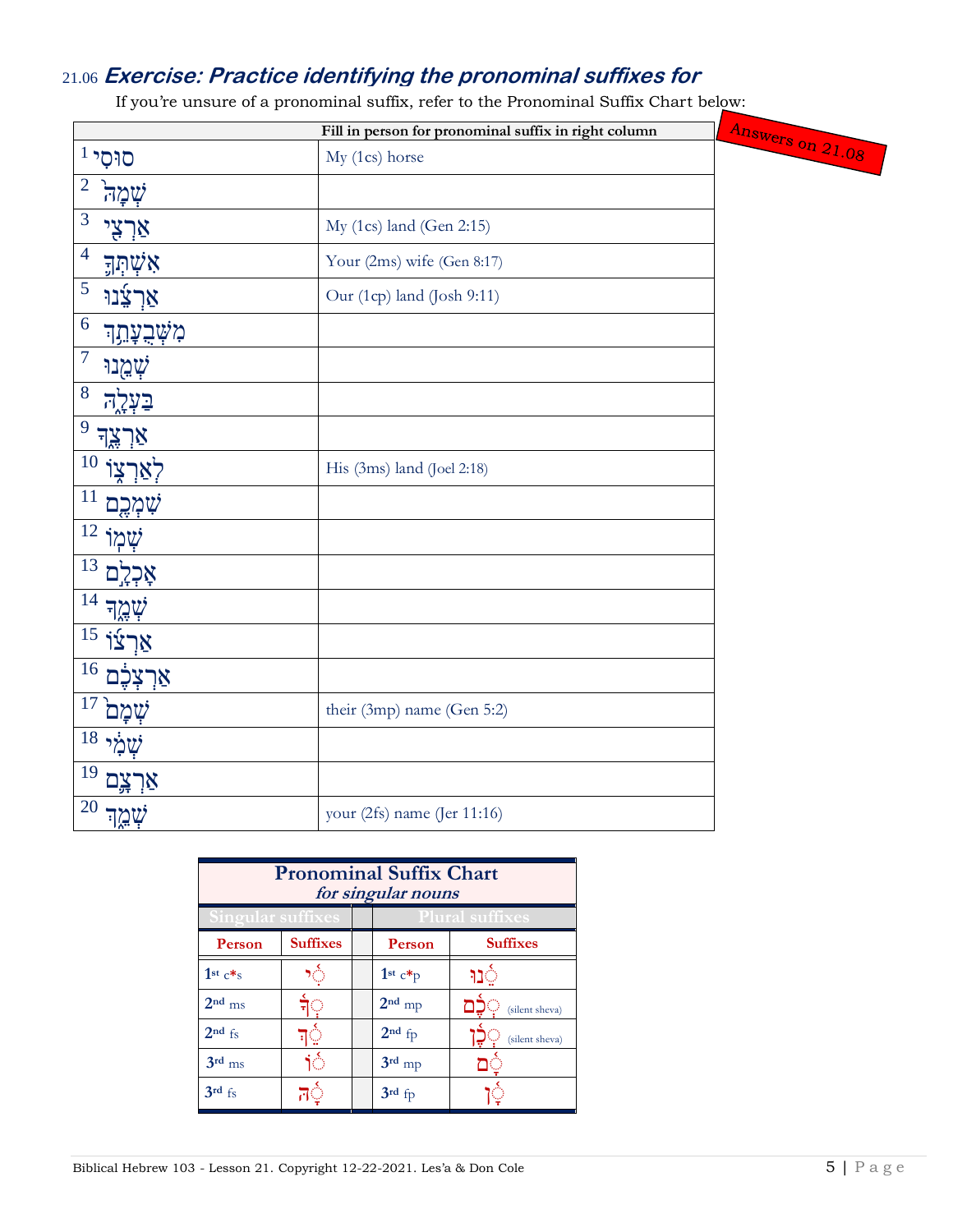## 21.06 **Exercise: Practice identifying the pronominal suffixes for**

If you're unsure of a pronominal suffix, refer to the Pronominal Suffix Chart below:

|                                         | Fill in person for pronominal suffix in right column |                  |
|-----------------------------------------|------------------------------------------------------|------------------|
| $^1$ סוּסי                              | My (1cs) horse                                       | Answers on 21.08 |
| $\overline{2}$<br>שְׁמָה                |                                                      |                  |
| 3<br>אַרְצִי                            | My $(1cs)$ land $(Gen 2:15)$                         |                  |
| $\overline{\mathcal{A}}$<br>אִשְׁתְּךָ  | Your (2ms) wife (Gen 8:17)                           |                  |
| 5<br>אַרְצָׂנוּ                         | Our (1cp) land (Josh 9:11)                           |                  |
| 6<br><i></i> מִשְׁבֻעֲתֵך               |                                                      |                  |
| $\overline{7}$<br>שְׁמֻנוּ              |                                                      |                  |
| 8<br>בּעָרַה                            |                                                      |                  |
| 9<br>אַרְצֶד                            |                                                      |                  |
| 10                                      | His (3ms) land (Joel 2:18)                           |                  |
| 11<br>ֹשָׁמְרֵם                         |                                                      |                  |
| 12<br>שְׁמְוֹ                           |                                                      |                  |
| 13<br>Ð                                 |                                                      |                  |
| 14<br>שְׁמֶך                            |                                                      |                  |
| $\overline{15}$ אַרְצוֹ                 |                                                      |                  |
| 16<br>אַרִצְכֶם                         |                                                      |                  |
| 17<br>שמם                               | their (3mp) name (Gen 5:2)                           |                  |
| $\overline{18}$ יקולי $\overline{\psi}$ |                                                      |                  |
| 19<br>אַרְצֶם                           |                                                      |                  |
| 20<br>שְׁמֶך                            | your (2fs) name (Jer 11:16)                          |                  |

| <b>Pronominal Suffix Chart</b><br>for singular nouns |                 |  |                        |                 |  |
|------------------------------------------------------|-----------------|--|------------------------|-----------------|--|
| <b>Singular suffixes</b>                             |                 |  | <b>Plural suffixes</b> |                 |  |
| Person                                               | <b>Suffixes</b> |  | Person                 | <b>Suffixes</b> |  |
| 1st $c\ddot{*}$ s                                    |                 |  | $1st c*p$              |                 |  |
| $2nd$ ms                                             |                 |  | $2nd$ mp               | (silent sheva)  |  |
| $2nd$ fs                                             |                 |  | $2nd$ fp               | (silent sheva)  |  |
| $3rd$ <sub>ms</sub>                                  | Ю               |  | $3rd$ mp               |                 |  |
| $3rd$ fs                                             |                 |  | $3rd$ fp               |                 |  |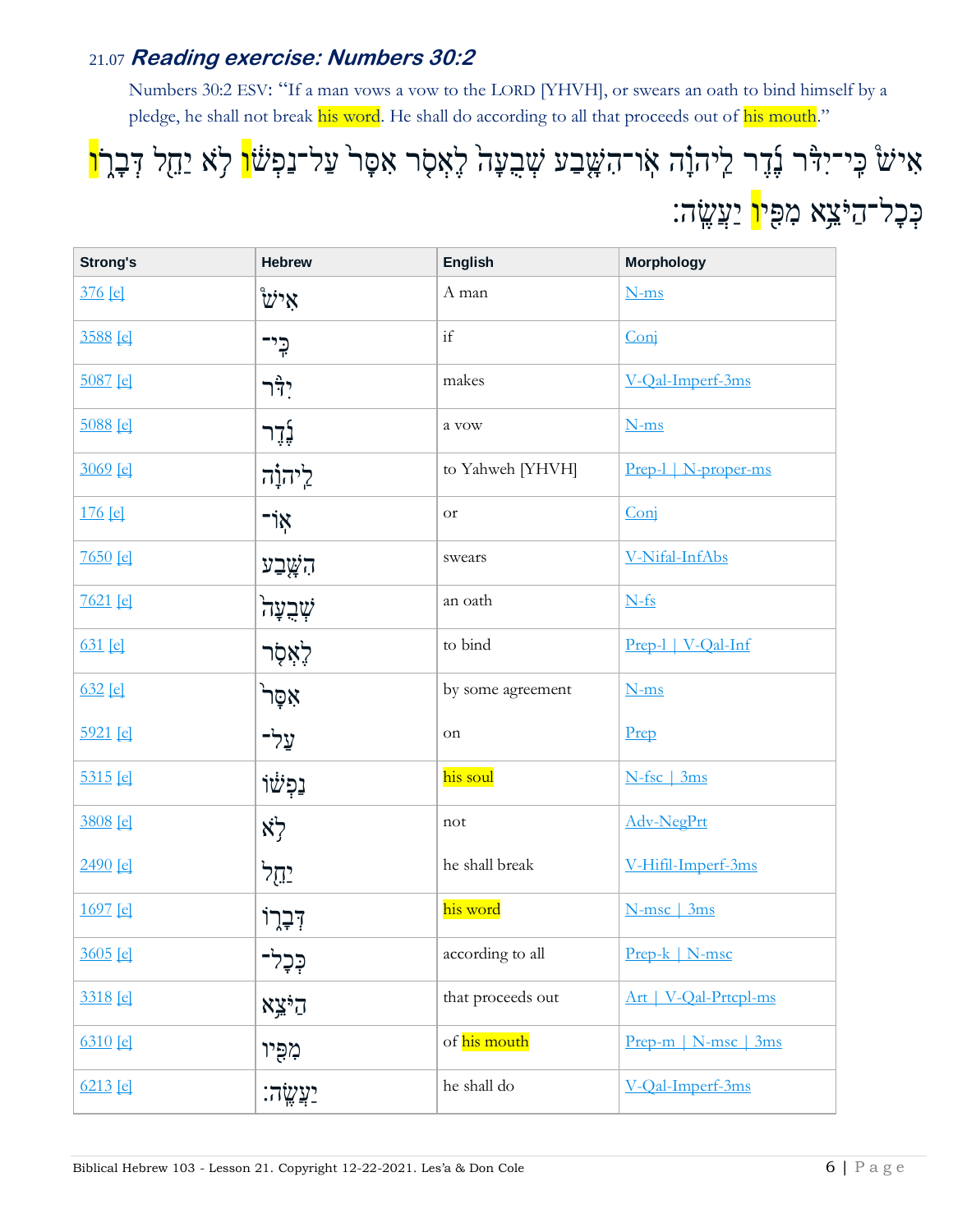## 21.07 **Reading exercise: Numbers 30:2**

Numbers 30:2 ESV: "If a man vows a vow to the LORD [YHVH], or swears an oath to bind himself by a pledge, he shall not break his word. He shall do according to all that proceeds out of his mouth."

# אִישׂ כִּי־יִדָּר נָדֶר לַיהוָ֫ה או־הִשָּׁבַע שְׁבִעָה לִאִסָר אִסָּר עַל־נַפְ<sup>ּיָ</sup>טֹן לָא יַחֲל דְּבָרֹן כְּכָל־הַיֹּצֵא מִפִּי<mark>ו</mark> יַעֲשֱה:

| <b>Strong's</b> | <b>Hebrew</b>           | <b>English</b>    | <b>Morphology</b>      |
|-----------------|-------------------------|-------------------|------------------------|
| $376$ [e]       | ิซ่'×                   | A man             | $N-ms$                 |
| 3588 [e]        | כֶּי־                   | if                | Conj                   |
| $5087$ [e]      | $7\frac{a}{1}$ י        | makes             | V-Qal-Imperf-3ms       |
| 5088 [e]        | <i>ל</i> ֶדֶר           | a vow             | $N-ms$                 |
| $3069$ [e]      | ליהוָה                  | to Yahweh [YHVH]  | Prep-1   N-proper-ms   |
| $176$ [e]       | ל"                      | <b>or</b>         | Conj                   |
| $7650$ [e]      | הַשֲָׁבַע               | swears            | V-Nifal-InfAbs         |
| $7621$ [e]      | ゚゙゙゙゙゙゙゙゙゙゙゙゙゚゙゙゙゙ヸヹ゙   | an oath           | $N-fs$                 |
| $631$ [e]       | לְאָסָר                 | to bind           | Prep-l   V-Qal-Inf     |
| $632$ [e]       | אָסָר <sup>י</sup>      | by some agreement | $N-ms$                 |
| 5921 [e]        | ֿעַל־                   | on                | Prep                   |
| 5315 [e]        | ֿנַפְ <sup>ּ</sup> שׁוֹ | his soul          | N-fsc   3ms            |
| 3808 [e]        | לֹא                     | not               | Adv-NegPrt             |
| $2490$ [e]      | <u>יהל</u>              | he shall break    | V-Hifil-Imperf-3ms     |
| 1697 [e]        | ּדְּבְרוֹ               | his word          | N-msc   3ms            |
| 3605 [e]        | בָּכְלִ-                | according to all  | $Prep-k   N-msc$       |
| 3318 [e]        | $X \times 57$           | that proceeds out | Art   V-Qal-Prtcpl-ms  |
| 6310 [e]        | מִפִּיו                 | of his mouth      | $Prep-m   N-msc   3ms$ |
| $6213$ [e]      | <u>יַעֲשֶׂה:</u>        | he shall do       | V-Qal-Imperf-3ms       |